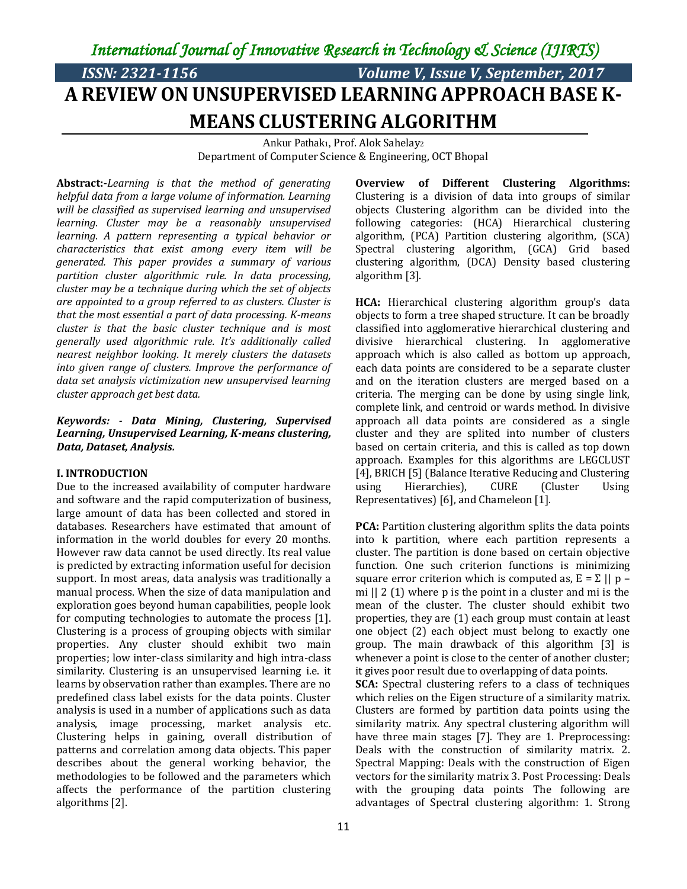*International Journal of Innovative Research in Technology & Science (IJIRTS)* 

# *ISSN: 2321-1156 Volume V, Issue V, September, 2017* **A REVIEW ON UNSUPERVISED LEARNING APPROACH BASE K-MEANS CLUSTERING ALGORITHM**

Ankur Pathak1, Prof. Alok Sahelay<sup>2</sup> Department of Computer Science & Engineering, OCT Bhopal

**Abstract:-***Learning is that the method of generating helpful data from a large volume of information. Learning will be classified as supervised learning and unsupervised learning. Cluster may be a reasonably unsupervised learning. A pattern representing a typical behavior or characteristics that exist among every item will be generated. This paper provides a summary of various partition cluster algorithmic rule. In data processing, cluster may be a technique during which the set of objects are appointed to a group referred to as clusters. Cluster is that the most essential a part of data processing. K-means cluster is that the basic cluster technique and is most generally used algorithmic rule. It's additionally called nearest neighbor looking. It merely clusters the datasets into given range of clusters. Improve the performance of data set analysis victimization new unsupervised learning cluster approach get best data.* 

### *Keywords: - Data Mining, Clustering, Supervised Learning, Unsupervised Learning, K-means clustering, Data, Dataset, Analysis.*

#### **I. INTRODUCTION**

Due to the increased availability of computer hardware and software and the rapid computerization of business, large amount of data has been collected and stored in databases. Researchers have estimated that amount of information in the world doubles for every 20 months. However raw data cannot be used directly. Its real value is predicted by extracting information useful for decision support. In most areas, data analysis was traditionally a manual process. When the size of data manipulation and exploration goes beyond human capabilities, people look for computing technologies to automate the process [1]. Clustering is a process of grouping objects with similar properties. Any cluster should exhibit two main properties; low inter-class similarity and high intra-class similarity. Clustering is an unsupervised learning i.e. it learns by observation rather than examples. There are no predefined class label exists for the data points. Cluster analysis is used in a number of applications such as data analysis, image processing, market analysis etc. Clustering helps in gaining, overall distribution of patterns and correlation among data objects. This paper describes about the general working behavior, the methodologies to be followed and the parameters which affects the performance of the partition clustering algorithms [2].

**Overview of Different Clustering Algorithms:**  Clustering is a division of data into groups of similar objects Clustering algorithm can be divided into the following categories: (HCA) Hierarchical clustering algorithm, (PCA) Partition clustering algorithm, (SCA) Spectral clustering algorithm, (GCA) Grid based clustering algorithm, (DCA) Density based clustering algorithm [3].

**HCA:** Hierarchical clustering algorithm group's data objects to form a tree shaped structure. It can be broadly classified into agglomerative hierarchical clustering and divisive hierarchical clustering. In agglomerative approach which is also called as bottom up approach, each data points are considered to be a separate cluster and on the iteration clusters are merged based on a criteria. The merging can be done by using single link, complete link, and centroid or wards method. In divisive approach all data points are considered as a single cluster and they are splited into number of clusters based on certain criteria, and this is called as top down approach. Examples for this algorithms are LEGCLUST [4], BRICH [5] (Balance Iterative Reducing and Clustering using Hierarchies), CURE (Cluster Using Representatives) [6], and Chameleon [1].

**PCA:** Partition clustering algorithm splits the data points into k partition, where each partition represents a cluster. The partition is done based on certain objective function. One such criterion functions is minimizing square error criterion which is computed as,  $E = \sum ||p - p||$ mi || 2 (1) where p is the point in a cluster and mi is the mean of the cluster. The cluster should exhibit two properties, they are (1) each group must contain at least one object (2) each object must belong to exactly one group. The main drawback of this algorithm [3] is whenever a point is close to the center of another cluster; it gives poor result due to overlapping of data points.

**SCA:** Spectral clustering refers to a class of techniques which relies on the Eigen structure of a similarity matrix. Clusters are formed by partition data points using the similarity matrix. Any spectral clustering algorithm will have three main stages [7]. They are 1. Preprocessing: Deals with the construction of similarity matrix. 2. Spectral Mapping: Deals with the construction of Eigen vectors for the similarity matrix 3. Post Processing: Deals with the grouping data points The following are advantages of Spectral clustering algorithm: 1. Strong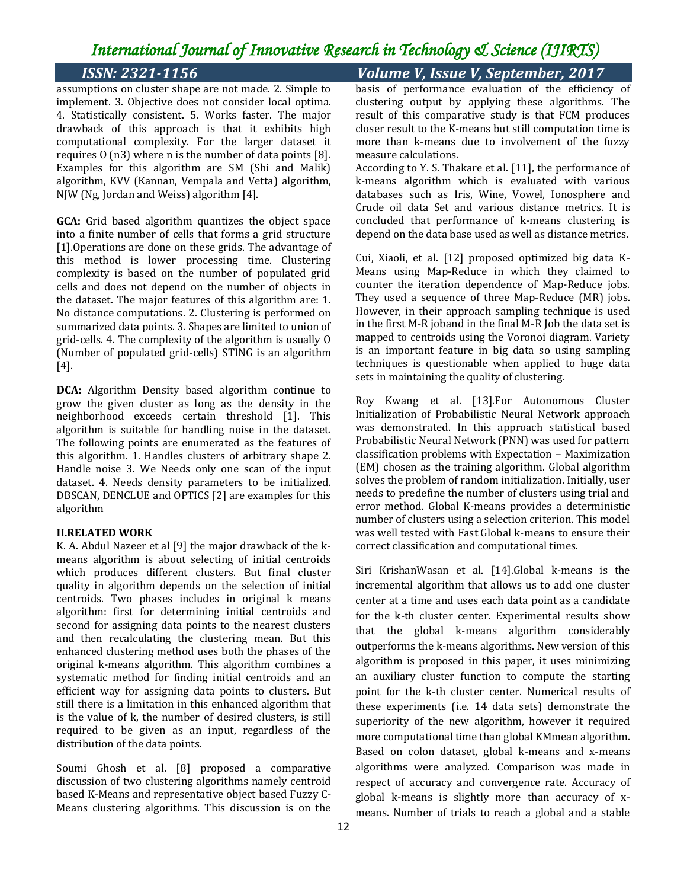## *International Journal of Innovative Research in Technology & Science (IJIRTS)*

assumptions on cluster shape are not made. 2. Simple to implement. 3. Objective does not consider local optima. 4. Statistically consistent. 5. Works faster. The major drawback of this approach is that it exhibits high computational complexity. For the larger dataset it requires O (n3) where n is the number of data points [8]. Examples for this algorithm are SM (Shi and Malik) algorithm, KVV (Kannan, Vempala and Vetta) algorithm, NJW (Ng, Jordan and Weiss) algorithm [4].

**GCA:** Grid based algorithm quantizes the object space into a finite number of cells that forms a grid structure [1].Operations are done on these grids. The advantage of this method is lower processing time. Clustering complexity is based on the number of populated grid cells and does not depend on the number of objects in the dataset. The major features of this algorithm are: 1. No distance computations. 2. Clustering is performed on summarized data points. 3. Shapes are limited to union of grid-cells. 4. The complexity of the algorithm is usually O (Number of populated grid-cells) STING is an algorithm [4].

**DCA:** Algorithm Density based algorithm continue to grow the given cluster as long as the density in the neighborhood exceeds certain threshold [1]. This algorithm is suitable for handling noise in the dataset. The following points are enumerated as the features of this algorithm. 1. Handles clusters of arbitrary shape 2. Handle noise 3. We Needs only one scan of the input dataset. 4. Needs density parameters to be initialized. DBSCAN, DENCLUE and OPTICS [2] are examples for this algorithm

### **II.RELATED WORK**

K. A. Abdul Nazeer et al [9] the major drawback of the kmeans algorithm is about selecting of initial centroids which produces different clusters. But final cluster quality in algorithm depends on the selection of initial centroids. Two phases includes in original k means algorithm: first for determining initial centroids and second for assigning data points to the nearest clusters and then recalculating the clustering mean. But this enhanced clustering method uses both the phases of the original k-means algorithm. This algorithm combines a systematic method for finding initial centroids and an efficient way for assigning data points to clusters. But still there is a limitation in this enhanced algorithm that is the value of k, the number of desired clusters, is still required to be given as an input, regardless of the distribution of the data points.

Soumi Ghosh et al. [8] proposed a comparative discussion of two clustering algorithms namely centroid based K-Means and representative object based Fuzzy C-Means clustering algorithms. This discussion is on the

## *ISSN: 2321-1156 Volume V, Issue V, September, 2017*

basis of performance evaluation of the efficiency of clustering output by applying these algorithms. The result of this comparative study is that FCM produces closer result to the K-means but still computation time is more than k-means due to involvement of the fuzzy measure calculations.

According to Y. S. Thakare et al. [11], the performance of k-means algorithm which is evaluated with various databases such as Iris, Wine, Vowel, Ionosphere and Crude oil data Set and various distance metrics. It is concluded that performance of k-means clustering is depend on the data base used as well as distance metrics.

Cui, Xiaoli, et al. [12] proposed optimized big data K-Means using Map-Reduce in which they claimed to counter the iteration dependence of Map-Reduce jobs. They used a sequence of three Map-Reduce (MR) jobs. However, in their approach sampling technique is used in the first M-R joband in the final M-R Job the data set is mapped to centroids using the Voronoi diagram. Variety is an important feature in big data so using sampling techniques is questionable when applied to huge data sets in maintaining the quality of clustering.

Roy Kwang et al. [13].For Autonomous Cluster Initialization of Probabilistic Neural Network approach was demonstrated. In this approach statistical based Probabilistic Neural Network (PNN) was used for pattern classification problems with Expectation – Maximization (EM) chosen as the training algorithm. Global algorithm solves the problem of random initialization. Initially, user needs to predefine the number of clusters using trial and error method. Global K-means provides a deterministic number of clusters using a selection criterion. This model was well tested with Fast Global k-means to ensure their correct classification and computational times.

Siri KrishanWasan et al. [14].Global k-means is the incremental algorithm that allows us to add one cluster center at a time and uses each data point as a candidate for the k-th cluster center. Experimental results show that the global k-means algorithm considerably outperforms the k-means algorithms. New version of this algorithm is proposed in this paper, it uses minimizing an auxiliary cluster function to compute the starting point for the k-th cluster center. Numerical results of these experiments (i.e. 14 data sets) demonstrate the superiority of the new algorithm, however it required more computational time than global KMmean algorithm. Based on colon dataset, global k-means and x-means algorithms were analyzed. Comparison was made in respect of accuracy and convergence rate. Accuracy of global k-means is slightly more than accuracy of xmeans. Number of trials to reach a global and a stable